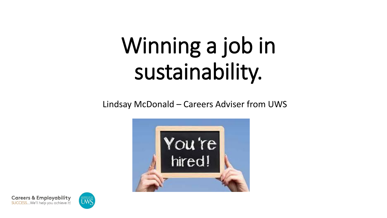## Winning a job in sustainability.

Lindsay McDonald – Careers Adviser from UWS





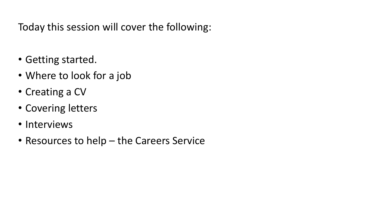Today this session will cover the following:

- Getting started.
- Where to look for a job
- Creating a CV
- Covering letters
- Interviews
- Resources to help the Careers Service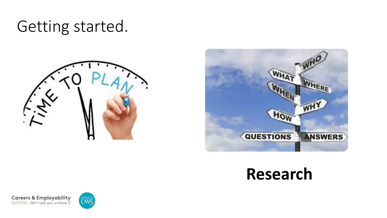## Getting started.





## **Research**



**Careers & Employability**<br>**SUCCESS...We'll help you achieve it!** 

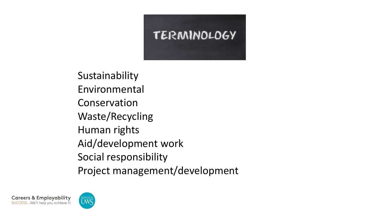

Sustainability Environmental Conservation Waste/Recycling Human rights Aid/development work Social responsibility Project management/development



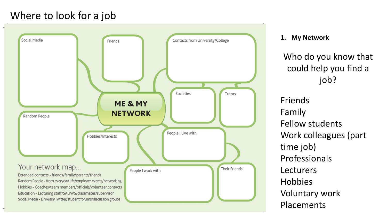## Where to look for a job



#### **1. My Network**

Who do you know that could help you find a job?

Friends Family Fellow students Work colleagues (part time job) Professionals Lecturers Hobbies Voluntary work Placements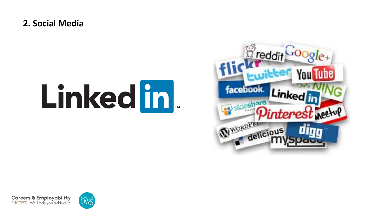#### **2. Social Media**

# Linked in





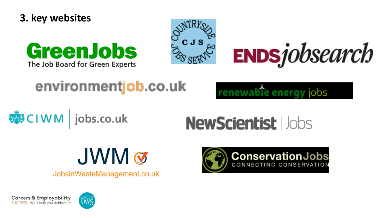







## environmentjob.co.uk

renewable energy iobs

**導CIWM** jobs.co.uk

## **NewScientist lobs**



JobsinWasteManagement.co.uk





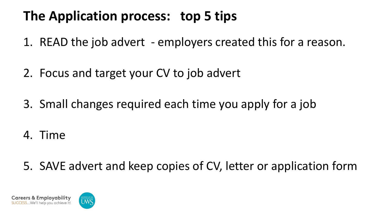## **The Application process: top 5 tips**

- 1. READ the job advert employers created this for a reason.
- 2. Focus and target your CV to job advert
- 3. Small changes required each time you apply for a job
- 4. Time
- 5. SAVE advert and keep copies of CV, letter or application form

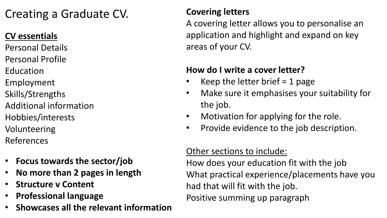## Creating a Graduate CV.

### **CV essentials**

- Personal Details
- Personal Profile
- Education
- Employment
- Skills/Strengths
- Additional information
- Hobbies/interests
- Volunteering
- References
- **Focus towards the sector/job**
- **No more than 2 pages in length**
- **Structure v Content**
- **Professional language**
- **Showcases all the relevant information**

#### **Covering letters**

A covering letter allows you to personalise an application and highlight and expand on key areas of your CV.

#### **How do I write a cover letter?**

- Keep the letter brief  $=$  1 page
- Make sure it emphasises your suitability for the job.
- Motivation for applying for the role.
- Provide evidence to the job description.

#### Other sections to include:

How does your education fit with the job What practical experience/placements have you had that will fit with the job. Positive summing up paragraph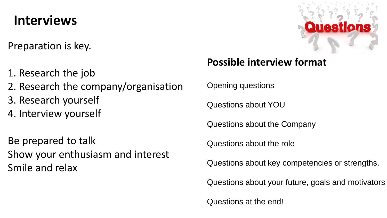## **Interviews**

Preparation is key.

- 1. Research the job
- 2. Research the company/organisation
- 3. Research yourself
- 4. Interview yourself

Be prepared to talk Show your enthusiasm and interest Smile and relax



## **Possible interview format**

Opening questions

Questions about YOU

Questions about the Company

Questions about the role

Questions about key competencies or strengths.

Questions about your future, goals and motivators

Questions at the end!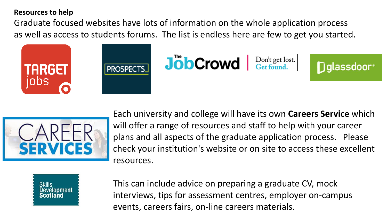#### **Resources to help**

Graduate focused websites have lots of information on the whole application process as well as access to students forums. The list is endless here are few to get you started.







**Diglassdoor**®



Each university and college will have its own **Careers Service** which will offer a range of resources and staff to help with your career plans and all aspects of the graduate application process. Please check your institution's website or on site to access these excellent resources.



This can include advice on preparing a graduate CV, mock interviews, tips for assessment centres, employer on-campus events, careers fairs, on-line careers materials.